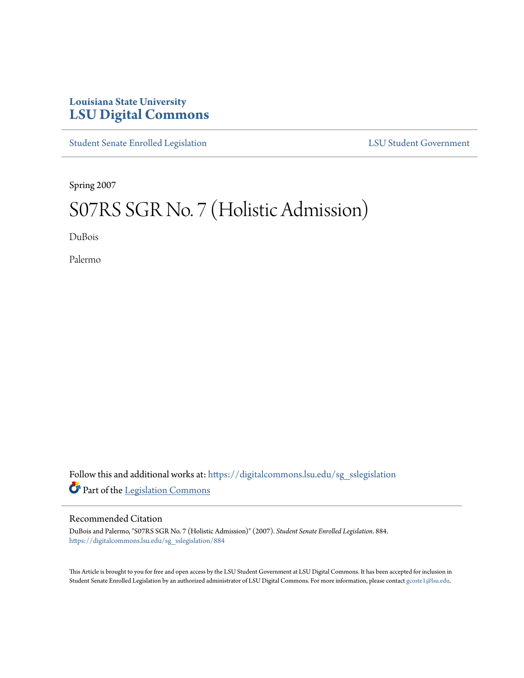## **Louisiana State University [LSU Digital Commons](https://digitalcommons.lsu.edu?utm_source=digitalcommons.lsu.edu%2Fsg_sslegislation%2F884&utm_medium=PDF&utm_campaign=PDFCoverPages)**

[Student Senate Enrolled Legislation](https://digitalcommons.lsu.edu/sg_sslegislation?utm_source=digitalcommons.lsu.edu%2Fsg_sslegislation%2F884&utm_medium=PDF&utm_campaign=PDFCoverPages) [LSU Student Government](https://digitalcommons.lsu.edu/sg?utm_source=digitalcommons.lsu.edu%2Fsg_sslegislation%2F884&utm_medium=PDF&utm_campaign=PDFCoverPages)

Spring 2007

## S07RS SGR No. 7 (Holistic Admission)

DuBois

Palermo

Follow this and additional works at: [https://digitalcommons.lsu.edu/sg\\_sslegislation](https://digitalcommons.lsu.edu/sg_sslegislation?utm_source=digitalcommons.lsu.edu%2Fsg_sslegislation%2F884&utm_medium=PDF&utm_campaign=PDFCoverPages) Part of the [Legislation Commons](http://network.bepress.com/hgg/discipline/859?utm_source=digitalcommons.lsu.edu%2Fsg_sslegislation%2F884&utm_medium=PDF&utm_campaign=PDFCoverPages)

## Recommended Citation

DuBois and Palermo, "S07RS SGR No. 7 (Holistic Admission)" (2007). *Student Senate Enrolled Legislation*. 884. [https://digitalcommons.lsu.edu/sg\\_sslegislation/884](https://digitalcommons.lsu.edu/sg_sslegislation/884?utm_source=digitalcommons.lsu.edu%2Fsg_sslegislation%2F884&utm_medium=PDF&utm_campaign=PDFCoverPages)

This Article is brought to you for free and open access by the LSU Student Government at LSU Digital Commons. It has been accepted for inclusion in Student Senate Enrolled Legislation by an authorized administrator of LSU Digital Commons. For more information, please contact [gcoste1@lsu.edu.](mailto:gcoste1@lsu.edu)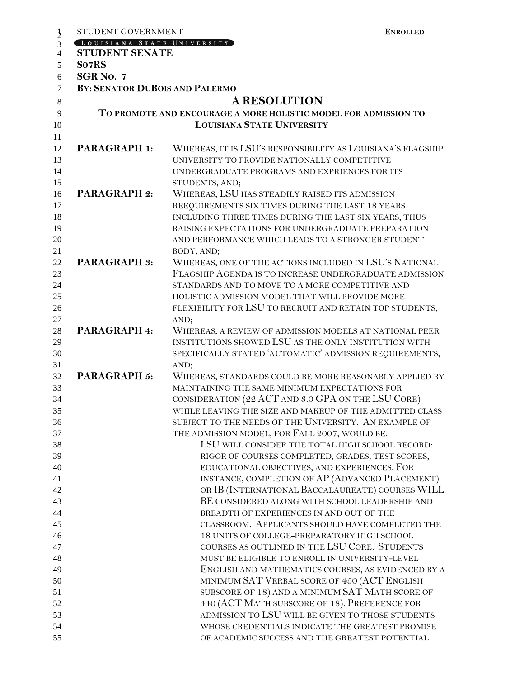|                | STUDENT GOVERNMENT                    | <b>ENROLLED</b>                                                 |
|----------------|---------------------------------------|-----------------------------------------------------------------|
| $\frac{1}{2}$  | LOUISIANA STATE UNIVERSITY            |                                                                 |
| $\overline{4}$ | <b>STUDENT SENATE</b>                 |                                                                 |
| 5              | So7RS                                 |                                                                 |
| 6              | SGR No. 7                             |                                                                 |
| $\overline{7}$ | <b>BY: SENATOR DUBOIS AND PALERMO</b> |                                                                 |
|                |                                       |                                                                 |
| $\,8\,$        |                                       | <b>A RESOLUTION</b>                                             |
| 9              |                                       | TO PROMOTE AND ENCOURAGE A MORE HOLISTIC MODEL FOR ADMISSION TO |
| 10             |                                       | <b>LOUISIANA STATE UNIVERSITY</b>                               |
| 11             |                                       |                                                                 |
| 12             | <b>PARAGRAPH 1:</b>                   | WHEREAS, IT IS LSU'S RESPONSIBILITY AS LOUISIANA'S FLAGSHIP     |
| 13             |                                       | UNIVERSITY TO PROVIDE NATIONALLY COMPETITIVE                    |
| 14             |                                       | UNDERGRADUATE PROGRAMS AND EXPRIENCES FOR ITS                   |
| 15             |                                       | STUDENTS, AND;                                                  |
| 16             | <b>PARAGRAPH 2:</b>                   | WHEREAS, LSU HAS STEADILY RAISED ITS ADMISSION                  |
| 17             |                                       | REEQUIREMENTS SIX TIMES DURING THE LAST 18 YEARS                |
| 18             |                                       | INCLUDING THREE TIMES DURING THE LAST SIX YEARS, THUS           |
| 19             |                                       | RAISING EXPECTATIONS FOR UNDERGRADUATE PREPARATION              |
| 20             |                                       | AND PERFORMANCE WHICH LEADS TO A STRONGER STUDENT               |
| 21             |                                       | BODY, AND;                                                      |
| 22             | <b>PARAGRAPH 3:</b>                   | WHEREAS, ONE OF THE ACTIONS INCLUDED IN LSU'S NATIONAL          |
|                |                                       | FLAGSHIP AGENDA IS TO INCREASE UNDERGRADUATE ADMISSION          |
| 23             |                                       |                                                                 |
| 24             |                                       | STANDARDS AND TO MOVE TO A MORE COMPETITIVE AND                 |
| 25             |                                       | HOLISTIC ADMISSION MODEL THAT WILL PROVIDE MORE                 |
| 26             |                                       | FLEXIBILITY FOR LSU TO RECRUIT AND RETAIN TOP STUDENTS,         |
| 27             |                                       | AND;                                                            |
| 28             | PARAGRAPH 4:                          | WHEREAS, A REVIEW OF ADMISSION MODELS AT NATIONAL PEER          |
| 29             |                                       | INSTITUTIONS SHOWED LSU AS THE ONLY INSTITUTION WITH            |
| 30             |                                       | SPECIFICALLY STATED 'AUTOMATIC' ADMISSION REQUIREMENTS,         |
| 31             |                                       | AND;                                                            |
| 32             | PARAGRAPH 5:                          | WHEREAS, STANDARDS COULD BE MORE REASONABLY APPLIED BY          |
| 33             |                                       | MAINTAINING THE SAME MINIMUM EXPECTATIONS FOR                   |
| 34             |                                       | CONSIDERATION (22 ACT AND 3.0 GPA ON THE LSU CORE)              |
| 35             |                                       | WHILE LEAVING THE SIZE AND MAKEUP OF THE ADMITTED CLASS         |
| 36             |                                       | SUBJECT TO THE NEEDS OF THE UNIVERSITY. AN EXAMPLE OF           |
| 37             |                                       | THE ADMISSION MODEL, FOR FALL 2007, WOULD BE:                   |
| 38             |                                       | LSU WILL CONSIDER THE TOTAL HIGH SCHOOL RECORD:                 |
| 39             |                                       | RIGOR OF COURSES COMPLETED, GRADES, TEST SCORES,                |
| 40             |                                       | EDUCATIONAL OBJECTIVES, AND EXPERIENCES. FOR                    |
| 41             |                                       | INSTANCE, COMPLETION OF AP (ADVANCED PLACEMENT)                 |
| 42             |                                       | OR IB (INTERNATIONAL BACCALAUREATE) COURSES WILL                |
|                |                                       |                                                                 |
| 43             |                                       | BE CONSIDERED ALONG WITH SCHOOL LEADERSHIP AND                  |
| 44             |                                       | BREADTH OF EXPERIENCES IN AND OUT OF THE                        |
| 45             |                                       | CLASSROOM. APPLICANTS SHOULD HAVE COMPLETED THE                 |
| 46             |                                       | 18 UNITS OF COLLEGE-PREPARATORY HIGH SCHOOL                     |
| 47             |                                       | COURSES AS OUTLINED IN THE LSU CORE. STUDENTS                   |
| 48             |                                       | MUST BE ELIGIBLE TO ENROLL IN UNIVERSITY-LEVEL                  |
| 49             |                                       | ENGLISH AND MATHEMATICS COURSES, AS EVIDENCED BY A              |
| 50             |                                       | MINIMUM SAT VERBAL SCORE OF 450 (ACT ENGLISH                    |
| 51             |                                       | SUBSCORE OF 18) AND A MINIMUM SAT MATH SCORE OF                 |
| 52             |                                       | 440 (ACT MATH SUBSCORE OF 18). PREFERENCE FOR                   |
| 53             |                                       | ADMISSION TO LSU WILL BE GIVEN TO THOSE STUDENTS                |
| 54             |                                       | WHOSE CREDENTIALS INDICATE THE GREATEST PROMISE                 |
| 55             |                                       | OF ACADEMIC SUCCESS AND THE GREATEST POTENTIAL                  |
|                |                                       |                                                                 |